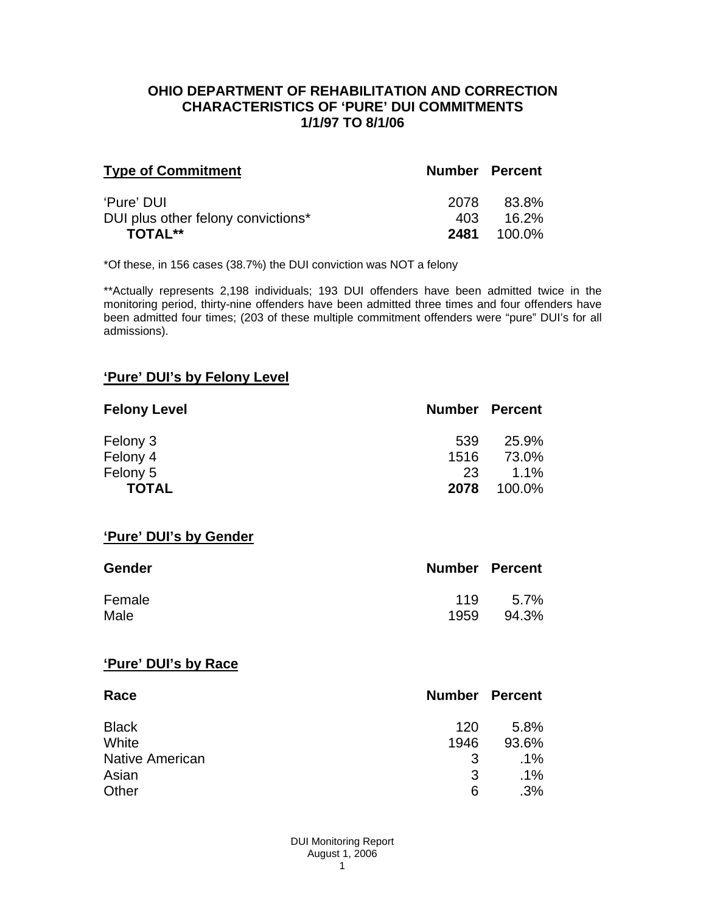### **OHIO DEPARTMENT OF REHABILITATION AND CORRECTION CHARACTERISTICS OF 'PURE' DUI COMMITMENTS 1/1/97 TO 8/1/06**

| <b>Type of Commitment</b>          | <b>Number Percent</b> |          |
|------------------------------------|-----------------------|----------|
| 'Pure' DUI                         | 2078                  | 83.8%    |
| DUI plus other felony convictions* | 403                   | $16.2\%$ |
| <b>TOTAL**</b>                     | 2481                  | 100.0%   |

\*Of these, in 156 cases (38.7%) the DUI conviction was NOT a felony

\*\*Actually represents 2,198 individuals; 193 DUI offenders have been admitted twice in the monitoring period, thirty-nine offenders have been admitted three times and four offenders have been admitted four times; (203 of these multiple commitment offenders were "pure" DUI's for all admissions).

# **'Pure' DUI's by Felony Level**

| <b>Felony Level</b> | <b>Number Percent</b> |         |
|---------------------|-----------------------|---------|
| Felony 3            | 539                   | 25.9%   |
| Felony 4            | 1516                  | 73.0%   |
| Felony 5            | 23                    | $1.1\%$ |
| <b>TOTAL</b>        | 2078                  | 100.0%  |

#### **'Pure' DUI's by Gender**

| Gender | <b>Number Percent</b> |       |
|--------|-----------------------|-------|
| Female | 119                   | 5.7%  |
| Male   | 1959                  | 94.3% |

#### **'Pure' DUI's by Race**

| Race                   | <b>Number Percent</b> |        |
|------------------------|-----------------------|--------|
| <b>Black</b>           | 120                   | 5.8%   |
| White                  | 1946                  | 93.6%  |
| <b>Native American</b> | 3                     | $.1\%$ |
| Asian                  | 3                     | $.1\%$ |
| Other                  | 6                     | .3%    |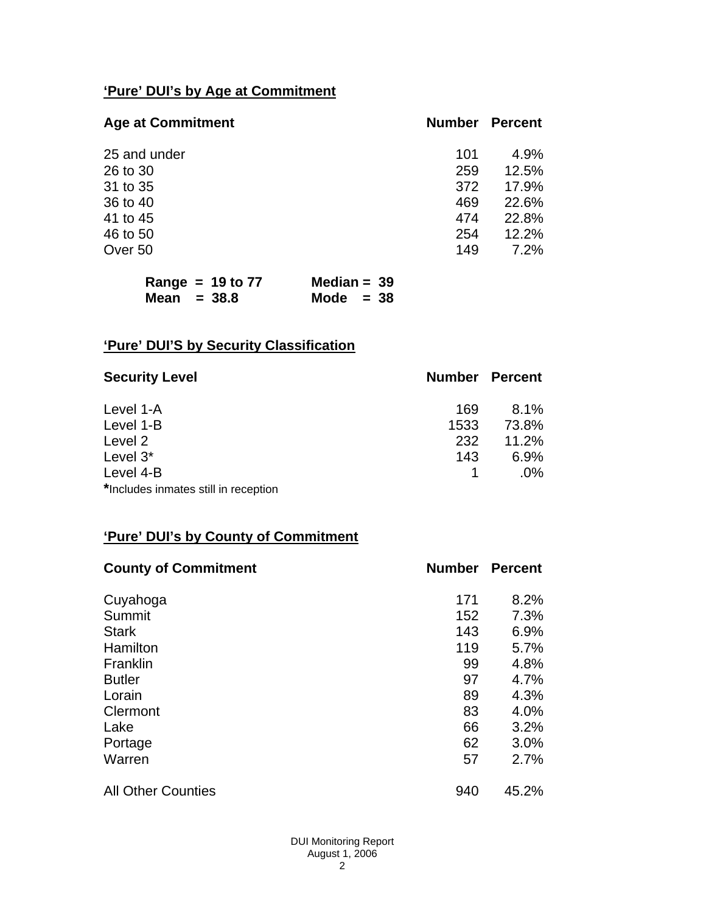# **'Pure' DUI's by Age at Commitment**

| <b>Age at Commitment</b> | <b>Number</b> | <b>Percent</b> |
|--------------------------|---------------|----------------|
| 25 and under             | 101           | 4.9%           |
| 26 to 30                 | 259           | 12.5%          |
| 31 to 35                 | 372           | 17.9%          |
| 36 to 40                 | 469           | 22.6%          |
| 41 to 45                 | 474           | 22.8%          |
| 46 to 50                 | 254           | 12.2%          |
| Over 50                  | 149           | 7.2%           |

| Range = $19$ to $77$ | Median = $39$ |
|----------------------|---------------|
| Mean $= 38.8$        | Mode $= 38$   |

# **'Pure' DUI'S by Security Classification**

| <b>Security Level</b>                | <b>Number Percent</b> |        |
|--------------------------------------|-----------------------|--------|
| Level 1-A                            | 169                   | 8.1%   |
| Level 1-B                            | 1533                  | 73.8%  |
| Level 2                              | 232                   | 11.2%  |
| Level 3*                             | 143                   | 6.9%   |
| Level 4-B                            |                       | $.0\%$ |
| *Includes inmates still in reception |                       |        |

# **'Pure' DUI's by County of Commitment**

| <b>County of Commitment</b> | <b>Number</b> | <b>Percent</b> |
|-----------------------------|---------------|----------------|
| Cuyahoga                    | 171           | 8.2%           |
| Summit                      | 152           | 7.3%           |
| <b>Stark</b>                | 143           | 6.9%           |
| Hamilton                    | 119           | 5.7%           |
| Franklin                    | 99            | 4.8%           |
| <b>Butler</b>               | 97            | 4.7%           |
| Lorain                      | 89            | 4.3%           |
| Clermont                    | 83            | 4.0%           |
| Lake                        | 66            | 3.2%           |
| Portage                     | 62            | 3.0%           |
| Warren                      | 57            | 2.7%           |
| <b>All Other Counties</b>   | 940           | 45.2%          |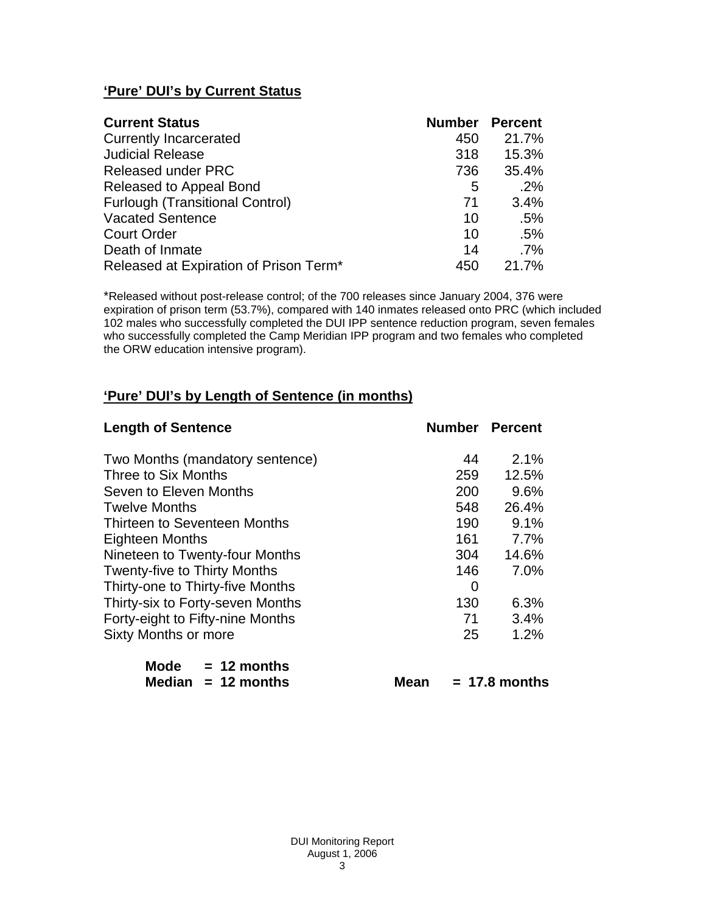# **'Pure' DUI's by Current Status**

| <b>Current Status</b>                  | <b>Number</b> | <b>Percent</b> |
|----------------------------------------|---------------|----------------|
| <b>Currently Incarcerated</b>          | 450           | 21.7%          |
| <b>Judicial Release</b>                | 318           | 15.3%          |
| <b>Released under PRC</b>              | 736           | 35.4%          |
| Released to Appeal Bond                | 5             | .2%            |
| <b>Furlough (Transitional Control)</b> | 71            | 3.4%           |
| <b>Vacated Sentence</b>                | 10            | .5%            |
| <b>Court Order</b>                     | 10            | .5%            |
| Death of Inmate                        | 14            | $.7\%$         |
| Released at Expiration of Prison Term* | 450           | 21.7%          |

\*Released without post-release control; of the 700 releases since January 2004, 376 were expiration of prison term (53.7%), compared with 140 inmates released onto PRC (which included 102 males who successfully completed the DUI IPP sentence reduction program, seven females who successfully completed the Camp Meridian IPP program and two females who completed the ORW education intensive program).

# **'Pure' DUI's by Length of Sentence (in months)**

| <b>Length of Sentence</b>           | <b>Number Percent</b> |                 |
|-------------------------------------|-----------------------|-----------------|
| Two Months (mandatory sentence)     | 44                    | 2.1%            |
| Three to Six Months                 | 259                   | 12.5%           |
| Seven to Eleven Months              | 200                   | 9.6%            |
| <b>Twelve Months</b>                | 548                   | 26.4%           |
| Thirteen to Seventeen Months        | 190                   | 9.1%            |
| <b>Eighteen Months</b>              | 161                   | 7.7%            |
| Nineteen to Twenty-four Months      | 304                   | 14.6%           |
| <b>Twenty-five to Thirty Months</b> | 146                   | 7.0%            |
| Thirty-one to Thirty-five Months    | 0                     |                 |
| Thirty-six to Forty-seven Months    | 130                   | 6.3%            |
| Forty-eight to Fifty-nine Months    | 71                    | 3.4%            |
| <b>Sixty Months or more</b>         | 25                    | 1.2%            |
| Mode $= 12$ months                  |                       |                 |
| Median $= 12$ months<br>Mean        |                       | $= 17.8$ months |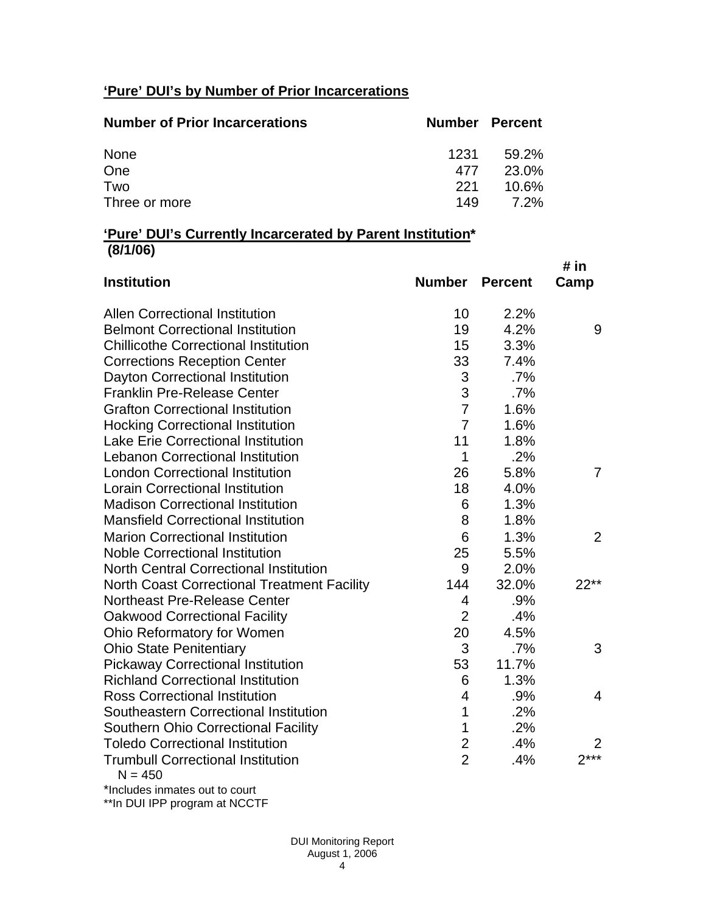# **'Pure' DUI's by Number of Prior Incarcerations**

| <b>Number of Prior Incarcerations</b> | <b>Number Percent</b> |       |
|---------------------------------------|-----------------------|-------|
| None                                  | 1231                  | 59.2% |
| One                                   | 477                   | 23.0% |
| Two                                   | 221                   | 10.6% |
| Three or more                         | 149                   | 7.2%  |

### **'Pure' DUI's Currently Incarcerated by Parent Institution\* (8/1/06)**

| <b>Institution</b>                                    | <b>Number</b>  | <b>Percent</b> | # in<br>Camp   |
|-------------------------------------------------------|----------------|----------------|----------------|
| <b>Allen Correctional Institution</b>                 | 10             | 2.2%           |                |
| <b>Belmont Correctional Institution</b>               | 19             | 4.2%           | 9              |
| <b>Chillicothe Correctional Institution</b>           | 15             | 3.3%           |                |
| <b>Corrections Reception Center</b>                   | 33             | 7.4%           |                |
| Dayton Correctional Institution                       | 3              | .7%            |                |
| <b>Franklin Pre-Release Center</b>                    | 3              | .7%            |                |
| <b>Grafton Correctional Institution</b>               | $\overline{7}$ | 1.6%           |                |
| <b>Hocking Correctional Institution</b>               | $\overline{7}$ | 1.6%           |                |
| <b>Lake Erie Correctional Institution</b>             | 11             | 1.8%           |                |
| <b>Lebanon Correctional Institution</b>               | $\mathbf{1}$   | .2%            |                |
| <b>London Correctional Institution</b>                | 26             | 5.8%           | $\overline{7}$ |
| <b>Lorain Correctional Institution</b>                | 18             | 4.0%           |                |
| <b>Madison Correctional Institution</b>               | 6              | 1.3%           |                |
| <b>Mansfield Correctional Institution</b>             | 8              | 1.8%           |                |
| <b>Marion Correctional Institution</b>                | 6              | 1.3%           | 2              |
| <b>Noble Correctional Institution</b>                 | 25             | 5.5%           |                |
| <b>North Central Correctional Institution</b>         | 9              | 2.0%           |                |
| <b>North Coast Correctional Treatment Facility</b>    | 144            | 32.0%          | $22**$         |
| <b>Northeast Pre-Release Center</b>                   | 4              | .9%            |                |
| <b>Oakwood Correctional Facility</b>                  | $\overline{2}$ | .4%            |                |
| Ohio Reformatory for Women                            | 20             | 4.5%           |                |
| <b>Ohio State Penitentiary</b>                        | 3              | .7%            | 3              |
| <b>Pickaway Correctional Institution</b>              | 53             | 11.7%          |                |
| <b>Richland Correctional Institution</b>              | 6              | 1.3%           |                |
| <b>Ross Correctional Institution</b>                  | $\overline{4}$ | .9%            | 4              |
| Southeastern Correctional Institution                 | $\mathbf 1$    | .2%            |                |
| <b>Southern Ohio Correctional Facility</b>            | 1              | .2%            |                |
| <b>Toledo Correctional Institution</b>                | $\overline{2}$ | .4%            | 2              |
| <b>Trumbull Correctional Institution</b><br>$N = 450$ | $\overline{2}$ | .4%            | $2***$         |
| *Includes inmates out to court                        |                |                |                |

\*\*In DUI IPP program at NCCTF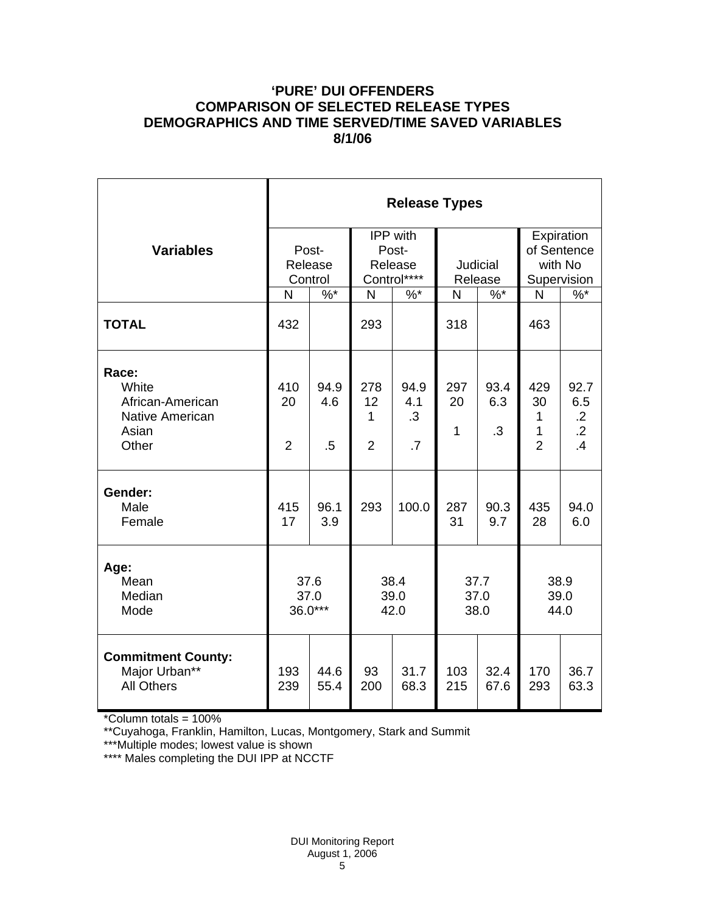## **'PURE' DUI OFFENDERS COMPARISON OF SELECTED RELEASE TYPES DEMOGRAPHICS AND TIME SERVED/TIME SAVED VARIABLES 8/1/06**

|                                                                                | <b>Release Types</b>        |                       |                                                    |                                |                            |                          |                                                     |                                                   |  |
|--------------------------------------------------------------------------------|-----------------------------|-----------------------|----------------------------------------------------|--------------------------------|----------------------------|--------------------------|-----------------------------------------------------|---------------------------------------------------|--|
| <b>Variables</b>                                                               | Post-<br>Release<br>Control |                       | <b>IPP</b> with<br>Post-<br>Release<br>Control**** |                                | <b>Judicial</b><br>Release |                          | Expiration<br>of Sentence<br>with No<br>Supervision |                                                   |  |
|                                                                                | N                           | $\frac{9}{6}$         | $\overline{N}$                                     | $\%$ *                         | N                          | $\%$ *                   | N                                                   | $\%$ *                                            |  |
| <b>TOTAL</b>                                                                   | 432                         |                       | 293                                                |                                | 318                        |                          | 463                                                 |                                                   |  |
| Race:<br>White<br>African-American<br><b>Native American</b><br>Asian<br>Other | 410<br>20<br>$\overline{2}$ | 94.9<br>4.6<br>$.5\,$ | 278<br>12<br>1<br>$\overline{2}$                   | 94.9<br>4.1<br>$\cdot$ 3<br>.7 | 297<br>20<br>$\mathbf{1}$  | 93.4<br>6.3<br>$\cdot$ 3 | 429<br>30<br>1<br>1<br>$\overline{2}$               | 92.7<br>6.5<br>$\cdot$ .2<br>$\overline{2}$<br>.4 |  |
| Gender:<br>Male<br>Female                                                      | 415<br>17                   | 96.1<br>3.9           | 293                                                | 100.0                          | 287<br>31                  | 90.3<br>9.7              | 435<br>28                                           | 94.0<br>6.0                                       |  |
| Age:<br>Mean<br>Median<br>Mode                                                 | 37.6<br>37.0<br>36.0***     |                       | 38.4<br>39.0<br>42.0                               |                                | 37.7<br>37.0<br>38.0       |                          | 38.9<br>39.0<br>44.0                                |                                                   |  |
| <b>Commitment County:</b><br>Major Urban**<br><b>All Others</b>                | 193<br>239                  | 44.6<br>55.4          | 93<br>200                                          | 31.7<br>68.3                   | 103<br>215                 | 32.4<br>67.6             | 170<br>293                                          | 36.7<br>63.3                                      |  |

\*Column totals = 100%

\*\*Cuyahoga, Franklin, Hamilton, Lucas, Montgomery, Stark and Summit

\*\*\*Multiple modes; lowest value is shown

\*\*\*\* Males completing the DUI IPP at NCCTF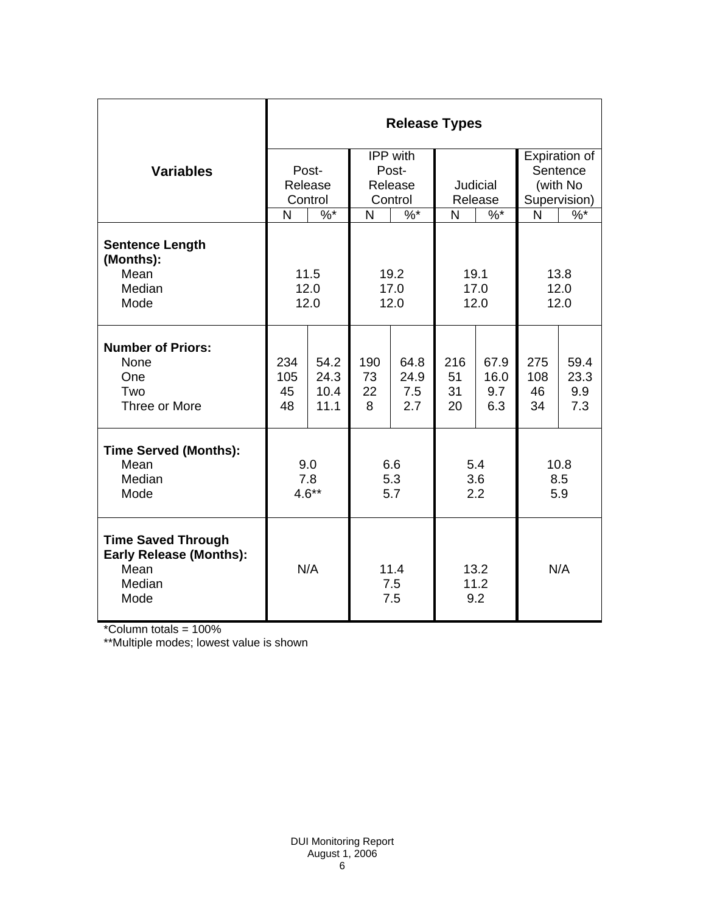|                                                                                       | <b>Release Types</b> |                    |                    |                 |                     |          |               |        |  |
|---------------------------------------------------------------------------------------|----------------------|--------------------|--------------------|-----------------|---------------------|----------|---------------|--------|--|
|                                                                                       |                      |                    | IPP with           |                 |                     |          | Expiration of |        |  |
| <b>Variables</b>                                                                      |                      | Post-              | Post-              |                 |                     |          | Sentence      |        |  |
|                                                                                       |                      | Release<br>Release |                    | <b>Judicial</b> |                     | (with No |               |        |  |
|                                                                                       |                      | Control            | Control            |                 | Release             |          | Supervision)  |        |  |
|                                                                                       | N                    | $\frac{9}{6}$ *    | N                  | $\frac{9}{6}$ * | N                   | $\%$ *   | N             | $\%$ * |  |
| <b>Sentence Length</b><br>(Months):                                                   |                      |                    |                    |                 |                     |          |               |        |  |
| Mean                                                                                  | 11.5                 |                    | 19.2               |                 | 19.1                |          | 13.8          |        |  |
| Median                                                                                | 12.0                 |                    | 17.0               |                 | 17.0                |          | 12.0          |        |  |
| Mode                                                                                  | 12.0                 |                    | 12.0               |                 | 12.0                |          | 12.0          |        |  |
| <b>Number of Priors:</b>                                                              |                      |                    |                    |                 |                     |          |               |        |  |
| None                                                                                  | 234                  | 54.2               | 190                | 64.8            | 216                 | 67.9     | 275           | 59.4   |  |
| One                                                                                   | 105                  | 24.3               | 73                 | 24.9            | 51                  | 16.0     | 108           | 23.3   |  |
| Two                                                                                   | 45                   | 10.4               | 22                 | 7.5             | 31                  | 9.7      | 46            | 9.9    |  |
| Three or More                                                                         | 48                   | 11.1               | 8                  | 2.7             | 20                  | 6.3      | 34            | 7.3    |  |
| <b>Time Served (Months):</b>                                                          |                      |                    |                    |                 |                     |          |               |        |  |
| Mean                                                                                  | 9.0                  |                    | 6.6                |                 | 5.4                 |          | 10.8          |        |  |
| Median                                                                                | 7.8                  |                    | 5.3                |                 | 3.6                 |          | 8.5           |        |  |
| Mode                                                                                  | $4.6**$              |                    | 5.7                |                 | 2.2                 |          | 5.9           |        |  |
| <b>Time Saved Through</b><br><b>Early Release (Months):</b><br>Mean<br>Median<br>Mode | N/A                  |                    | 11.4<br>7.5<br>7.5 |                 | 13.2<br>11.2<br>9.2 |          | N/A           |        |  |

\*Column totals = 100%

\*\*Multiple modes; lowest value is shown